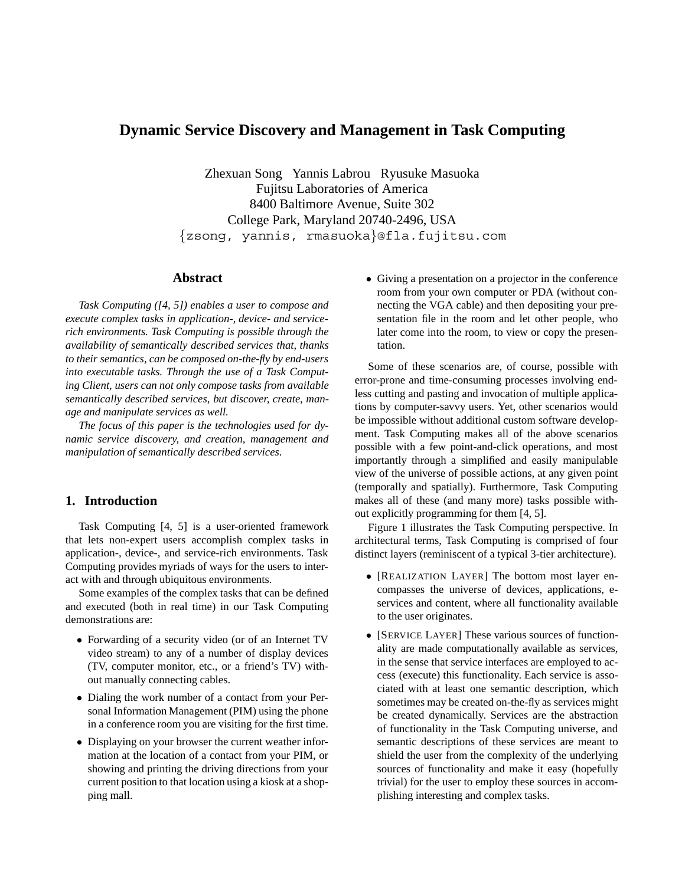# **Dynamic Service Discovery and Management in Task Computing**

Zhexuan Song Yannis Labrou Ryusuke Masuoka Fujitsu Laboratories of America 8400 Baltimore Avenue, Suite 302 College Park, Maryland 20740-2496, USA *{*zsong, yannis, rmasuoka*}*@fla.fujitsu.com

## **Abstract**

*Task Computing ([4, 5]) enables a user to compose and execute complex tasks in application-, device- and servicerich environments. Task Computing is possible through the availability of semantically described services that, thanks to their semantics, can be composed on-the-fly by end-users into executable tasks. Through the use of a Task Computing Client, users can not only compose tasks from available semantically described services, but discover, create, manage and manipulate services as well.*

*The focus of this paper is the technologies used for dynamic service discovery, and creation, management and manipulation of semantically described services.*

## **1. Introduction**

Task Computing [4, 5] is a user-oriented framework that lets non-expert users accomplish complex tasks in application-, device-, and service-rich environments. Task Computing provides myriads of ways for the users to interact with and through ubiquitous environments.

Some examples of the complex tasks that can be defined and executed (both in real time) in our Task Computing demonstrations are:

- *•* Forwarding of a security video (or of an Internet TV video stream) to any of a number of display devices (TV, computer monitor, etc., or a friend's TV) without manually connecting cables.
- *•* Dialing the work number of a contact from your Personal Information Management (PIM) using the phone in a conference room you are visiting for the first time.
- *•* Displaying on your browser the current weather information at the location of a contact from your PIM, or showing and printing the driving directions from your current position to that location using a kiosk at a shopping mall.

*•* Giving a presentation on a projector in the conference room from your own computer or PDA (without connecting the VGA cable) and then depositing your presentation file in the room and let other people, who later come into the room, to view or copy the presentation.

Some of these scenarios are, of course, possible with error-prone and time-consuming processes involving endless cutting and pasting and invocation of multiple applications by computer-savvy users. Yet, other scenarios would be impossible without additional custom software development. Task Computing makes all of the above scenarios possible with a few point-and-click operations, and most importantly through a simplified and easily manipulable view of the universe of possible actions, at any given point (temporally and spatially). Furthermore, Task Computing makes all of these (and many more) tasks possible without explicitly programming for them [4, 5].

Figure 1 illustrates the Task Computing perspective. In architectural terms, Task Computing is comprised of four distinct layers (reminiscent of a typical 3-tier architecture).

- *•* [REALIZATION LAYER] The bottom most layer encompasses the universe of devices, applications, eservices and content, where all functionality available to the user originates.
- *•* [SERVICE LAYER] These various sources of functionality are made computationally available as services, in the sense that service interfaces are employed to access (execute) this functionality. Each service is associated with at least one semantic description, which sometimes may be created on-the-fly as services might be created dynamically. Services are the abstraction of functionality in the Task Computing universe, and semantic descriptions of these services are meant to shield the user from the complexity of the underlying sources of functionality and make it easy (hopefully trivial) for the user to employ these sources in accomplishing interesting and complex tasks.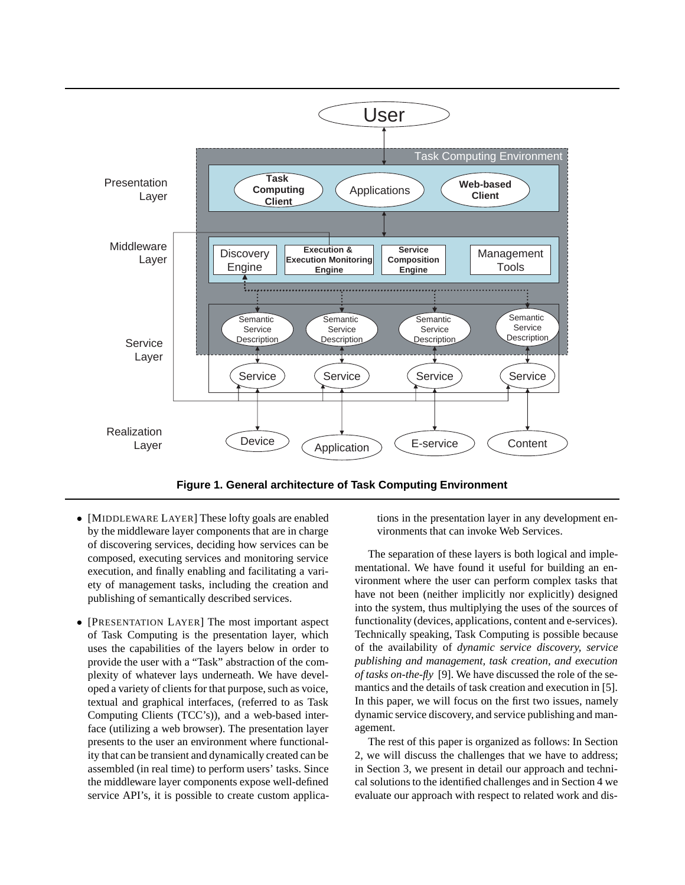

**Figure 1. General architecture of Task Computing Environment**

- *•* [MIDDLEWARE LAYER] These lofty goals are enabled by the middleware layer components that are in charge of discovering services, deciding how services can be composed, executing services and monitoring service execution, and finally enabling and facilitating a variety of management tasks, including the creation and publishing of semantically described services.
- *•* [PRESENTATION LAYER] The most important aspect of Task Computing is the presentation layer, which uses the capabilities of the layers below in order to provide the user with a "Task" abstraction of the complexity of whatever lays underneath. We have developed a variety of clients for that purpose, such as voice, textual and graphical interfaces, (referred to as Task Computing Clients (TCC's)), and a web-based interface (utilizing a web browser). The presentation layer presents to the user an environment where functionality that can be transient and dynamically created can be assembled (in real time) to perform users' tasks. Since the middleware layer components expose well-defined service API's, it is possible to create custom applica-

tions in the presentation layer in any development environments that can invoke Web Services.

The separation of these layers is both logical and implementational. We have found it useful for building an environment where the user can perform complex tasks that have not been (neither implicitly nor explicitly) designed into the system, thus multiplying the uses of the sources of functionality (devices, applications, content and e-services). Technically speaking, Task Computing is possible because of the availability of *dynamic service discovery, service publishing and management, task creation, and execution of tasks on-the-fly* [9]. We have discussed the role of the semantics and the details of task creation and execution in [5]. In this paper, we will focus on the first two issues, namely dynamic service discovery, and service publishing and management.

The rest of this paper is organized as follows: In Section 2, we will discuss the challenges that we have to address; in Section 3, we present in detail our approach and technical solutions to the identified challenges and in Section 4 we evaluate our approach with respect to related work and dis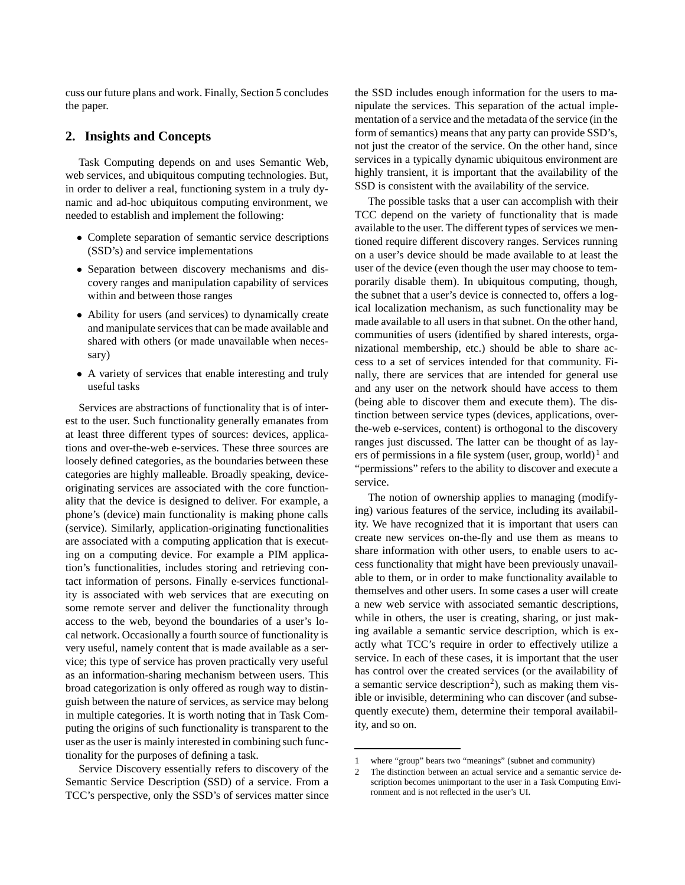cuss our future plans and work. Finally, Section 5 concludes the paper.

### **2. Insights and Concepts**

Task Computing depends on and uses Semantic Web, web services, and ubiquitous computing technologies. But, in order to deliver a real, functioning system in a truly dynamic and ad-hoc ubiquitous computing environment, we needed to establish and implement the following:

- *•* Complete separation of semantic service descriptions (SSD's) and service implementations
- *•* Separation between discovery mechanisms and discovery ranges and manipulation capability of services within and between those ranges
- Ability for users (and services) to dynamically create and manipulate services that can be made available and shared with others (or made unavailable when necessary)
- *•* A variety of services that enable interesting and truly useful tasks

Services are abstractions of functionality that is of interest to the user. Such functionality generally emanates from at least three different types of sources: devices, applications and over-the-web e-services. These three sources are loosely defined categories, as the boundaries between these categories are highly malleable. Broadly speaking, deviceoriginating services are associated with the core functionality that the device is designed to deliver. For example, a phone's (device) main functionality is making phone calls (service). Similarly, application-originating functionalities are associated with a computing application that is executing on a computing device. For example a PIM application's functionalities, includes storing and retrieving contact information of persons. Finally e-services functionality is associated with web services that are executing on some remote server and deliver the functionality through access to the web, beyond the boundaries of a user's local network. Occasionally a fourth source of functionality is very useful, namely content that is made available as a service; this type of service has proven practically very useful as an information-sharing mechanism between users. This broad categorization is only offered as rough way to distinguish between the nature of services, as service may belong in multiple categories. It is worth noting that in Task Computing the origins of such functionality is transparent to the user as the user is mainly interested in combining such functionality for the purposes of defining a task.

Service Discovery essentially refers to discovery of the Semantic Service Description (SSD) of a service. From a TCC's perspective, only the SSD's of services matter since the SSD includes enough information for the users to manipulate the services. This separation of the actual implementation of a service and the metadata of the service (in the form of semantics) means that any party can provide SSD's, not just the creator of the service. On the other hand, since services in a typically dynamic ubiquitous environment are highly transient, it is important that the availability of the SSD is consistent with the availability of the service.

The possible tasks that a user can accomplish with their TCC depend on the variety of functionality that is made available to the user. The different types of services we mentioned require different discovery ranges. Services running on a user's device should be made available to at least the user of the device (even though the user may choose to temporarily disable them). In ubiquitous computing, though, the subnet that a user's device is connected to, offers a logical localization mechanism, as such functionality may be made available to all users in that subnet. On the other hand, communities of users (identified by shared interests, organizational membership, etc.) should be able to share access to a set of services intended for that community. Finally, there are services that are intended for general use and any user on the network should have access to them (being able to discover them and execute them). The distinction between service types (devices, applications, overthe-web e-services, content) is orthogonal to the discovery ranges just discussed. The latter can be thought of as layers of permissions in a file system (user, group, world)<sup>1</sup> and "permissions" refers to the ability to discover and execute a service.

The notion of ownership applies to managing (modifying) various features of the service, including its availability. We have recognized that it is important that users can create new services on-the-fly and use them as means to share information with other users, to enable users to access functionality that might have been previously unavailable to them, or in order to make functionality available to themselves and other users. In some cases a user will create a new web service with associated semantic descriptions, while in others, the user is creating, sharing, or just making available a semantic service description, which is exactly what TCC's require in order to effectively utilize a service. In each of these cases, it is important that the user has control over the created services (or the availability of a semantic service description<sup>2</sup>), such as making them visible or invisible, determining who can discover (and subsequently execute) them, determine their temporal availability, and so on.

<sup>1</sup> where "group" bears two "meanings" (subnet and community)

<sup>2</sup> The distinction between an actual service and a semantic service description becomes unimportant to the user in a Task Computing Environment and is not reflected in the user's UI.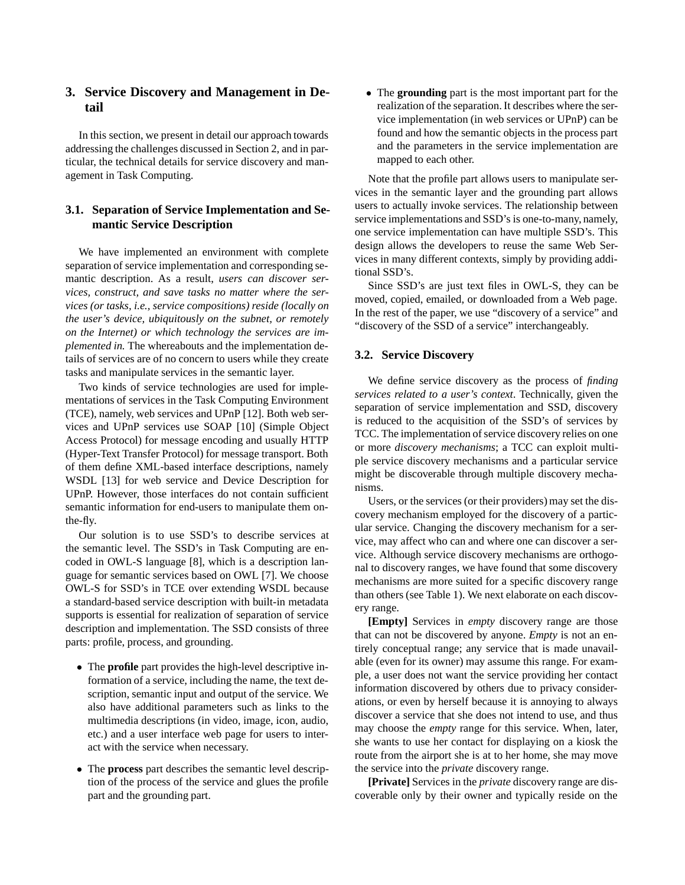# **3. Service Discovery and Management in Detail**

In this section, we present in detail our approach towards addressing the challenges discussed in Section 2, and in particular, the technical details for service discovery and management in Task Computing.

# **3.1. Separation of Service Implementation and Semantic Service Description**

We have implemented an environment with complete separation of service implementation and corresponding semantic description. As a result, *users can discover services, construct, and save tasks no matter where the services (or tasks, i.e., service compositions) reside (locally on the user's device, ubiquitously on the subnet, or remotely on the Internet) or which technology the services are implemented in.* The whereabouts and the implementation details of services are of no concern to users while they create tasks and manipulate services in the semantic layer.

Two kinds of service technologies are used for implementations of services in the Task Computing Environment (TCE), namely, web services and UPnP [12]. Both web services and UPnP services use SOAP [10] (Simple Object Access Protocol) for message encoding and usually HTTP (Hyper-Text Transfer Protocol) for message transport. Both of them define XML-based interface descriptions, namely WSDL [13] for web service and Device Description for UPnP. However, those interfaces do not contain sufficient semantic information for end-users to manipulate them onthe-fly.

Our solution is to use SSD's to describe services at the semantic level. The SSD's in Task Computing are encoded in OWL-S language [8], which is a description language for semantic services based on OWL [7]. We choose OWL-S for SSD's in TCE over extending WSDL because a standard-based service description with built-in metadata supports is essential for realization of separation of service description and implementation. The SSD consists of three parts: profile, process, and grounding.

- *•* The **profile** part provides the high-level descriptive information of a service, including the name, the text description, semantic input and output of the service. We also have additional parameters such as links to the multimedia descriptions (in video, image, icon, audio, etc.) and a user interface web page for users to interact with the service when necessary.
- *•* The **process** part describes the semantic level description of the process of the service and glues the profile part and the grounding part.

*•* The **grounding** part is the most important part for the realization of the separation. It describes where the service implementation (in web services or UPnP) can be found and how the semantic objects in the process part and the parameters in the service implementation are mapped to each other.

Note that the profile part allows users to manipulate services in the semantic layer and the grounding part allows users to actually invoke services. The relationship between service implementations and SSD's is one-to-many, namely, one service implementation can have multiple SSD's. This design allows the developers to reuse the same Web Services in many different contexts, simply by providing additional SSD's.

Since SSD's are just text files in OWL-S, they can be moved, copied, emailed, or downloaded from a Web page. In the rest of the paper, we use "discovery of a service" and "discovery of the SSD of a service" interchangeably.

#### **3.2. Service Discovery**

We define service discovery as the process of *finding services related to a user's context*. Technically, given the separation of service implementation and SSD, discovery is reduced to the acquisition of the SSD's of services by TCC. The implementation of service discovery relies on one or more *discovery mechanisms*; a TCC can exploit multiple service discovery mechanisms and a particular service might be discoverable through multiple discovery mechanisms.

Users, or the services (or their providers) may set the discovery mechanism employed for the discovery of a particular service. Changing the discovery mechanism for a service, may affect who can and where one can discover a service. Although service discovery mechanisms are orthogonal to discovery ranges, we have found that some discovery mechanisms are more suited for a specific discovery range than others (see Table 1). We next elaborate on each discovery range.

**[Empty]** Services in *empty* discovery range are those that can not be discovered by anyone. *Empty* is not an entirely conceptual range; any service that is made unavailable (even for its owner) may assume this range. For example, a user does not want the service providing her contact information discovered by others due to privacy considerations, or even by herself because it is annoying to always discover a service that she does not intend to use, and thus may choose the *empty* range for this service. When, later, she wants to use her contact for displaying on a kiosk the route from the airport she is at to her home, she may move the service into the *private* discovery range.

**[Private]** Services in the *private* discovery range are discoverable only by their owner and typically reside on the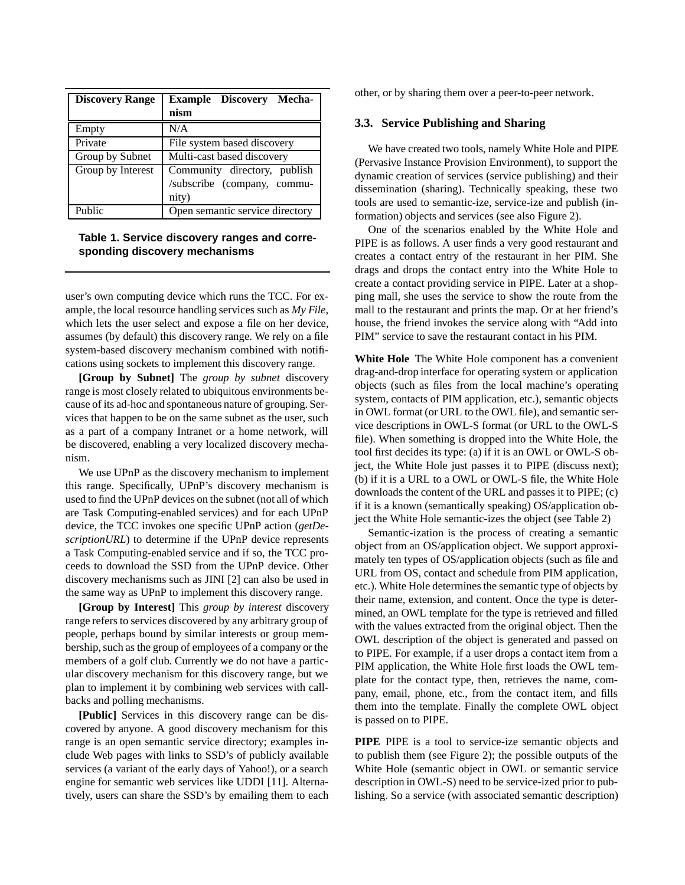| <b>Discovery Range</b> | <b>Example Discovery Mecha-</b><br>nism                              |  |  |
|------------------------|----------------------------------------------------------------------|--|--|
| Empty                  | N/A                                                                  |  |  |
| Private                | File system based discovery                                          |  |  |
| Group by Subnet        | Multi-cast based discovery                                           |  |  |
| Group by Interest      | Community directory, publish<br>/subscribe (company, commu-<br>nity) |  |  |
| Public                 | Open semantic service directory                                      |  |  |

**Table 1. Service discovery ranges and corresponding discovery mechanisms**

user's own computing device which runs the TCC. For example, the local resource handling services such as *My File*, which lets the user select and expose a file on her device, assumes (by default) this discovery range. We rely on a file system-based discovery mechanism combined with notifications using sockets to implement this discovery range.

**[Group by Subnet]** The *group by subnet* discovery range is most closely related to ubiquitous environments because of its ad-hoc and spontaneous nature of grouping. Services that happen to be on the same subnet as the user, such as a part of a company Intranet or a home network, will be discovered, enabling a very localized discovery mechanism.

We use UPnP as the discovery mechanism to implement this range. Specifically, UPnP's discovery mechanism is used to find the UPnP devices on the subnet (not all of which are Task Computing-enabled services) and for each UPnP device, the TCC invokes one specific UPnP action (*getDescriptionURL*) to determine if the UPnP device represents a Task Computing-enabled service and if so, the TCC proceeds to download the SSD from the UPnP device. Other discovery mechanisms such as JINI [2] can also be used in the same way as UPnP to implement this discovery range.

**[Group by Interest]** This *group by interest* discovery range refers to services discovered by any arbitrary group of people, perhaps bound by similar interests or group membership, such as the group of employees of a company or the members of a golf club. Currently we do not have a particular discovery mechanism for this discovery range, but we plan to implement it by combining web services with callbacks and polling mechanisms.

**[Public]** Services in this discovery range can be discovered by anyone. A good discovery mechanism for this range is an open semantic service directory; examples include Web pages with links to SSD's of publicly available services (a variant of the early days of Yahoo!), or a search engine for semantic web services like UDDI [11]. Alternatively, users can share the SSD's by emailing them to each other, or by sharing them over a peer-to-peer network.

#### **3.3. Service Publishing and Sharing**

We have created two tools, namely White Hole and PIPE (Pervasive Instance Provision Environment), to support the dynamic creation of services (service publishing) and their dissemination (sharing). Technically speaking, these two tools are used to semantic-ize, service-ize and publish (information) objects and services (see also Figure 2).

One of the scenarios enabled by the White Hole and PIPE is as follows. A user finds a very good restaurant and creates a contact entry of the restaurant in her PIM. She drags and drops the contact entry into the White Hole to create a contact providing service in PIPE. Later at a shopping mall, she uses the service to show the route from the mall to the restaurant and prints the map. Or at her friend's house, the friend invokes the service along with "Add into PIM" service to save the restaurant contact in his PIM.

**White Hole** The White Hole component has a convenient drag-and-drop interface for operating system or application objects (such as files from the local machine's operating system, contacts of PIM application, etc.), semantic objects in OWL format (or URL to the OWL file), and semantic service descriptions in OWL-S format (or URL to the OWL-S file). When something is dropped into the White Hole, the tool first decides its type: (a) if it is an OWL or OWL-S object, the White Hole just passes it to PIPE (discuss next); (b) if it is a URL to a OWL or OWL-S file, the White Hole downloads the content of the URL and passes it to PIPE; (c) if it is a known (semantically speaking) OS/application object the White Hole semantic-izes the object (see Table 2)

Semantic-ization is the process of creating a semantic object from an OS/application object. We support approximately ten types of OS/application objects (such as file and URL from OS, contact and schedule from PIM application, etc.). White Hole determines the semantic type of objects by their name, extension, and content. Once the type is determined, an OWL template for the type is retrieved and filled with the values extracted from the original object. Then the OWL description of the object is generated and passed on to PIPE. For example, if a user drops a contact item from a PIM application, the White Hole first loads the OWL template for the contact type, then, retrieves the name, company, email, phone, etc., from the contact item, and fills them into the template. Finally the complete OWL object is passed on to PIPE.

**PIPE** PIPE is a tool to service-ize semantic objects and to publish them (see Figure 2); the possible outputs of the White Hole (semantic object in OWL or semantic service description in OWL-S) need to be service-ized prior to publishing. So a service (with associated semantic description)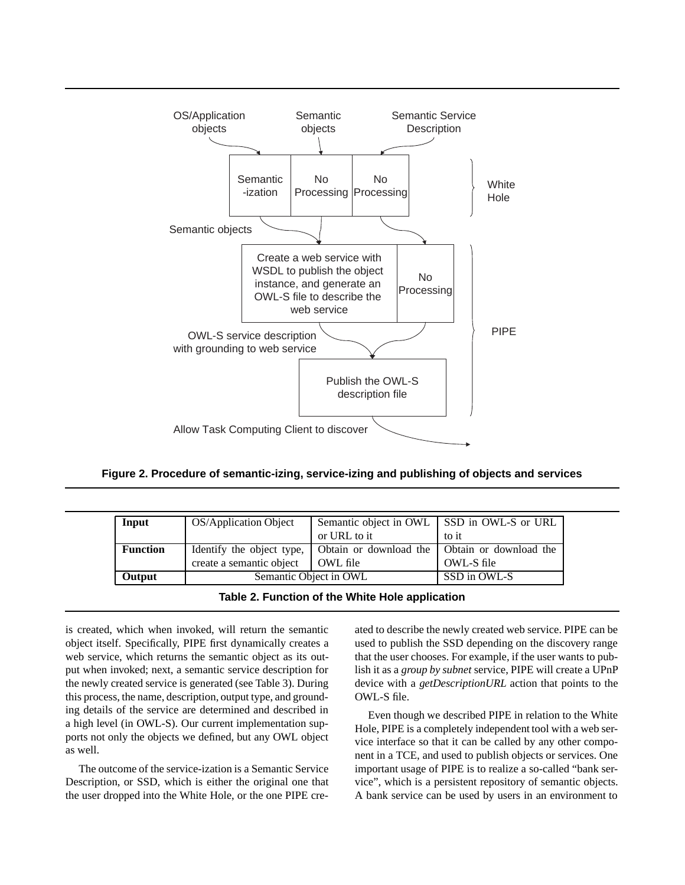

**Figure 2. Procedure of semantic-izing, service-izing and publishing of objects and services**

| Input                                           | OS/Application Object     |                        | Semantic object in OWL SSD in OWL-S or URL |  |  |  |
|-------------------------------------------------|---------------------------|------------------------|--------------------------------------------|--|--|--|
|                                                 |                           | or URL to it           | to it                                      |  |  |  |
| <b>Function</b>                                 | Identify the object type, | Obtain or download the | Obtain or download the                     |  |  |  |
|                                                 | create a semantic object  | OWL file               | OWL-S file                                 |  |  |  |
| Output                                          | Semantic Object in OWL    |                        | SSD in OWL-S                               |  |  |  |
| Table 2. Function of the White Hole application |                           |                        |                                            |  |  |  |

is created, which when invoked, will return the semantic object itself. Specifically, PIPE first dynamically creates a web service, which returns the semantic object as its output when invoked; next, a semantic service description for the newly created service is generated (see Table 3). During this process, the name, description, output type, and grounding details of the service are determined and described in a high level (in OWL-S). Our current implementation supports not only the objects we defined, but any OWL object as well.

The outcome of the service-ization is a Semantic Service Description, or SSD, which is either the original one that the user dropped into the White Hole, or the one PIPE created to describe the newly created web service. PIPE can be used to publish the SSD depending on the discovery range that the user chooses. For example, if the user wants to publish it as a *group by subnet* service, PIPE will create a UPnP device with a *getDescriptionURL* action that points to the OWL-S file.

Even though we described PIPE in relation to the White Hole, PIPE is a completely independent tool with a web service interface so that it can be called by any other component in a TCE, and used to publish objects or services. One important usage of PIPE is to realize a so-called "bank service", which is a persistent repository of semantic objects. A bank service can be used by users in an environment to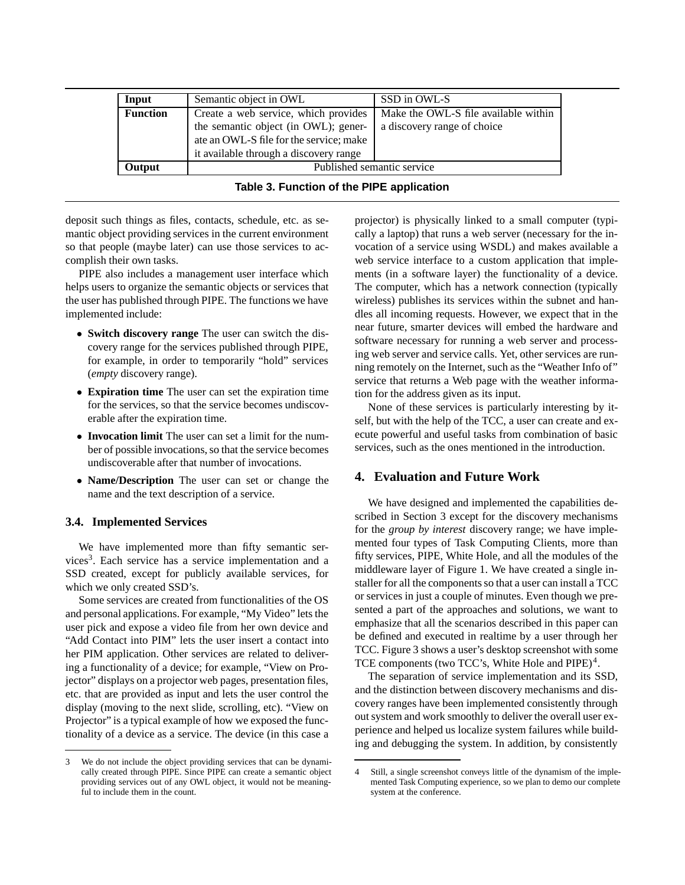| Input           | Semantic object in OWL                                                                                                                                            | SSD in OWL-S                                                        |  |
|-----------------|-------------------------------------------------------------------------------------------------------------------------------------------------------------------|---------------------------------------------------------------------|--|
| <b>Function</b> | Create a web service, which provides<br>the semantic object (in OWL); gener-<br>ate an OWL-S file for the service; make<br>it available through a discovery range | Make the OWL-S file available within<br>a discovery range of choice |  |
| Output          | Published semantic service                                                                                                                                        |                                                                     |  |

**Table 3. Function of the PIPE application**

deposit such things as files, contacts, schedule, etc. as semantic object providing services in the current environment so that people (maybe later) can use those services to accomplish their own tasks.

PIPE also includes a management user interface which helps users to organize the semantic objects or services that the user has published through PIPE. The functions we have implemented include:

- *•* **Switch discovery range** The user can switch the discovery range for the services published through PIPE, for example, in order to temporarily "hold" services (*empty* discovery range).
- *•* **Expiration time** The user can set the expiration time for the services, so that the service becomes undiscoverable after the expiration time.
- *•* **Invocation limit** The user can set a limit for the number of possible invocations, so that the service becomes undiscoverable after that number of invocations.
- *•* **Name/Description** The user can set or change the name and the text description of a service.

#### **3.4. Implemented Services**

We have implemented more than fifty semantic ser $vices<sup>3</sup>$ . Each service has a service implementation and a SSD created, except for publicly available services, for which we only created SSD's.

Some services are created from functionalities of the OS and personal applications. For example, "My Video" lets the user pick and expose a video file from her own device and "Add Contact into PIM" lets the user insert a contact into her PIM application. Other services are related to delivering a functionality of a device; for example, "View on Projector" displays on a projector web pages, presentation files, etc. that are provided as input and lets the user control the display (moving to the next slide, scrolling, etc). "View on Projector" is a typical example of how we exposed the functionality of a device as a service. The device (in this case a

projector) is physically linked to a small computer (typically a laptop) that runs a web server (necessary for the invocation of a service using WSDL) and makes available a web service interface to a custom application that implements (in a software layer) the functionality of a device. The computer, which has a network connection (typically wireless) publishes its services within the subnet and handles all incoming requests. However, we expect that in the near future, smarter devices will embed the hardware and software necessary for running a web server and processing web server and service calls. Yet, other services are running remotely on the Internet, such as the "Weather Info of" service that returns a Web page with the weather information for the address given as its input.

None of these services is particularly interesting by itself, but with the help of the TCC, a user can create and execute powerful and useful tasks from combination of basic services, such as the ones mentioned in the introduction.

## **4. Evaluation and Future Work**

We have designed and implemented the capabilities described in Section 3 except for the discovery mechanisms for the *group by interest* discovery range; we have implemented four types of Task Computing Clients, more than fifty services, PIPE, White Hole, and all the modules of the middleware layer of Figure 1. We have created a single installer for all the components so that a user can install a TCC or services in just a couple of minutes. Even though we presented a part of the approaches and solutions, we want to emphasize that all the scenarios described in this paper can be defined and executed in realtime by a user through her TCC. Figure 3 shows a user's desktop screenshot with some TCE components (two TCC's, White Hole and PIPE)<sup>4</sup>.

The separation of service implementation and its SSD, and the distinction between discovery mechanisms and discovery ranges have been implemented consistently through out system and work smoothly to deliver the overall user experience and helped us localize system failures while building and debugging the system. In addition, by consistently

<sup>3</sup> We do not include the object providing services that can be dynamically created through PIPE. Since PIPE can create a semantic object providing services out of any OWL object, it would not be meaningful to include them in the count.

<sup>4</sup> Still, a single screenshot conveys little of the dynamism of the implemented Task Computing experience, so we plan to demo our complete system at the conference.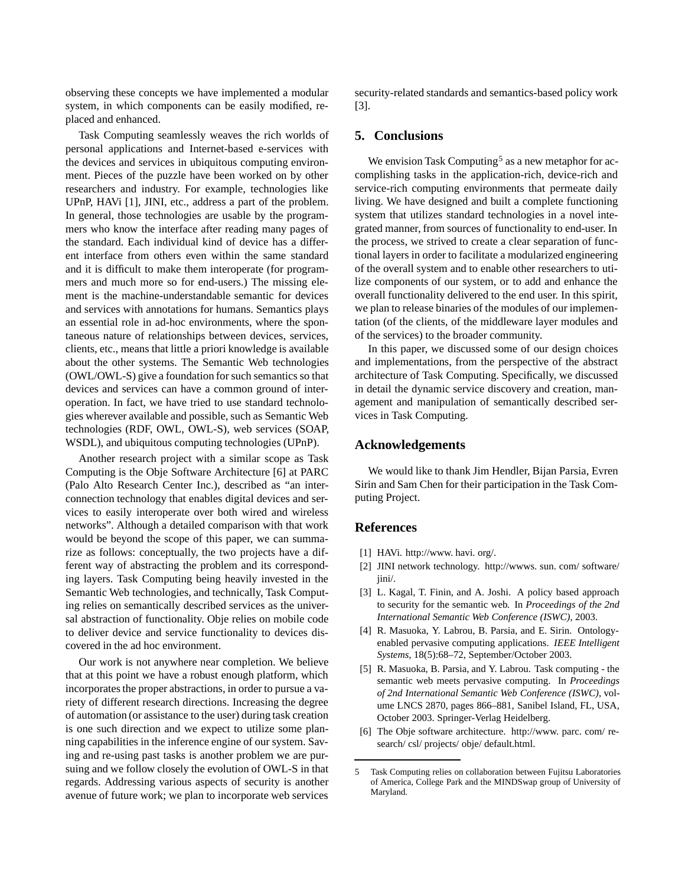observing these concepts we have implemented a modular system, in which components can be easily modified, replaced and enhanced.

Task Computing seamlessly weaves the rich worlds of personal applications and Internet-based e-services with the devices and services in ubiquitous computing environment. Pieces of the puzzle have been worked on by other researchers and industry. For example, technologies like UPnP, HAVi [1], JINI, etc., address a part of the problem. In general, those technologies are usable by the programmers who know the interface after reading many pages of the standard. Each individual kind of device has a different interface from others even within the same standard and it is difficult to make them interoperate (for programmers and much more so for end-users.) The missing element is the machine-understandable semantic for devices and services with annotations for humans. Semantics plays an essential role in ad-hoc environments, where the spontaneous nature of relationships between devices, services, clients, etc., means that little a priori knowledge is available about the other systems. The Semantic Web technologies (OWL/OWL-S) give a foundation for such semantics so that devices and services can have a common ground of interoperation. In fact, we have tried to use standard technologies wherever available and possible, such as Semantic Web technologies (RDF, OWL, OWL-S), web services (SOAP, WSDL), and ubiquitous computing technologies (UPnP).

Another research project with a similar scope as Task Computing is the Obje Software Architecture [6] at PARC (Palo Alto Research Center Inc.), described as "an interconnection technology that enables digital devices and services to easily interoperate over both wired and wireless networks". Although a detailed comparison with that work would be beyond the scope of this paper, we can summarize as follows: conceptually, the two projects have a different way of abstracting the problem and its corresponding layers. Task Computing being heavily invested in the Semantic Web technologies, and technically, Task Computing relies on semantically described services as the universal abstraction of functionality. Obje relies on mobile code to deliver device and service functionality to devices discovered in the ad hoc environment.

Our work is not anywhere near completion. We believe that at this point we have a robust enough platform, which incorporates the proper abstractions, in order to pursue a variety of different research directions. Increasing the degree of automation (or assistance to the user) during task creation is one such direction and we expect to utilize some planning capabilities in the inference engine of our system. Saving and re-using past tasks is another problem we are pursuing and we follow closely the evolution of OWL-S in that regards. Addressing various aspects of security is another avenue of future work; we plan to incorporate web services security-related standards and semantics-based policy work [3].

### **5. Conclusions**

We envision Task Computing<sup>5</sup> as a new metaphor for accomplishing tasks in the application-rich, device-rich and service-rich computing environments that permeate daily living. We have designed and built a complete functioning system that utilizes standard technologies in a novel integrated manner, from sources of functionality to end-user. In the process, we strived to create a clear separation of functional layers in order to facilitate a modularized engineering of the overall system and to enable other researchers to utilize components of our system, or to add and enhance the overall functionality delivered to the end user. In this spirit, we plan to release binaries of the modules of our implementation (of the clients, of the middleware layer modules and of the services) to the broader community.

In this paper, we discussed some of our design choices and implementations, from the perspective of the abstract architecture of Task Computing. Specifically, we discussed in detail the dynamic service discovery and creation, management and manipulation of semantically described services in Task Computing.

#### **Acknowledgements**

We would like to thank Jim Hendler, Bijan Parsia, Evren Sirin and Sam Chen for their participation in the Task Computing Project.

### **References**

- [1] HAVi. http://www. havi. org/.
- [2] JINI network technology. http://wwws. sun. com/ software/ jini/.
- [3] L. Kagal, T. Finin, and A. Joshi. A policy based approach to security for the semantic web. In *Proceedings of the 2nd International Semantic Web Conference (ISWC)*, 2003.
- [4] R. Masuoka, Y. Labrou, B. Parsia, and E. Sirin. Ontologyenabled pervasive computing applications. *IEEE Intelligent Systems*, 18(5):68–72, September/October 2003.
- [5] R. Masuoka, B. Parsia, and Y. Labrou. Task computing the semantic web meets pervasive computing. In *Proceedings of 2nd International Semantic Web Conference (ISWC)*, volume LNCS 2870, pages 866–881, Sanibel Island, FL, USA, October 2003. Springer-Verlag Heidelberg.
- [6] The Obje software architecture. http://www. parc. com/ research/ csl/ projects/ obje/ default.html.

<sup>5</sup> Task Computing relies on collaboration between Fujitsu Laboratories of America, College Park and the MINDSwap group of University of Maryland.